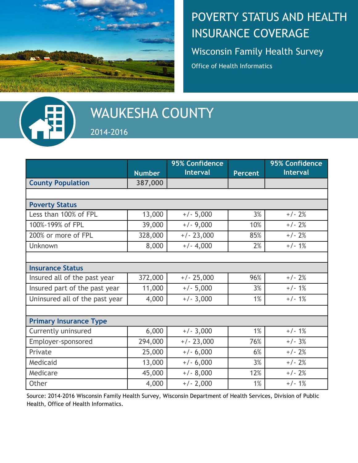

## POVERTY STATUS AND HEALTH INSURANCE COVERAGE

Wisconsin Family Health Survey

Office of Health Informatics



# WAUKESHA COUNTY 2014-2016

|                                |               | 95% Confidence  |                | 95% Confidence  |
|--------------------------------|---------------|-----------------|----------------|-----------------|
|                                | <b>Number</b> | <b>Interval</b> | <b>Percent</b> | <b>Interval</b> |
| <b>County Population</b>       | 387,000       |                 |                |                 |
|                                |               |                 |                |                 |
| <b>Poverty Status</b>          |               |                 |                |                 |
| Less than 100% of FPL          | 13,000        | $+/- 5,000$     | 3%             | $+/- 2%$        |
| 100%-199% of FPL               | 39,000        | $+/- 9,000$     | 10%            | $+/- 2%$        |
| 200% or more of FPL            | 328,000       | $+/- 23,000$    | 85%            | $+/- 2%$        |
| Unknown                        | 8,000         | $+/- 4,000$     | 2%             | $+/-1%$         |
|                                |               |                 |                |                 |
| <b>Insurance Status</b>        |               |                 |                |                 |
| Insured all of the past year   | 372,000       | $+/- 25,000$    | 96%            | $+/- 2%$        |
| Insured part of the past year  | 11,000        | $+/- 5,000$     | 3%             | $+/-1%$         |
| Uninsured all of the past year | 4,000         | $+/- 3,000$     | 1%             | $+/-1%$         |
|                                |               |                 |                |                 |
| <b>Primary Insurance Type</b>  |               |                 |                |                 |
| Currently uninsured            | 6,000         | $+/- 3,000$     | 1%             | $+/-1%$         |
| Employer-sponsored             | 294,000       | $+/- 23,000$    | 76%            | $+/- 3%$        |
| Private                        | 25,000        | $+/- 6,000$     | 6%             | $+/- 2%$        |
| Medicaid                       | 13,000        | $+/- 6,000$     | 3%             | $+/- 2%$        |
| Medicare                       | 45,000        | $+/- 8,000$     | 12%            | $+/- 2%$        |
| Other                          | 4,000         | $+/- 2,000$     | 1%             | $+/-1%$         |

Source: 2014-2016 Wisconsin Family Health Survey, Wisconsin Department of Health Services, Division of Public Health, Office of Health Informatics.